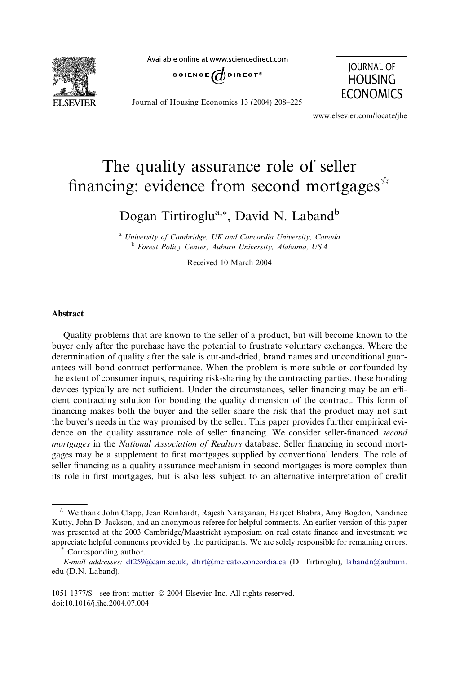

Available online at www.sciencedirect.com



Journal of Housing Economics 13 (2004) 208–225

JOURNAL OF **HOUSING** ECONOMICS

www.elsevier.com/locate/jhe

## The quality assurance role of seller financing: evidence from second mortgages $\vec{r}$

Dogan Tirtiroglu<sup>a,\*</sup>, David N. Laband<sup>b</sup>

<sup>a</sup> University of Cambridge, UK and Concordia University, Canada <sup>b</sup> Forest Policy Center, Auburn University, Alabama, USA

Received 10 March 2004

## Abstract

Quality problems that are known to the seller of a product, but will become known to the buyer only after the purchase have the potential to frustrate voluntary exchanges. Where the determination of quality after the sale is cut-and-dried, brand names and unconditional guarantees will bond contract performance. When the problem is more subtle or confounded by the extent of consumer inputs, requiring risk-sharing by the contracting parties, these bonding devices typically are not sufficient. Under the circumstances, seller financing may be an efficient contracting solution for bonding the quality dimension of the contract. This form of financing makes both the buyer and the seller share the risk that the product may not suit the buyer's needs in the way promised by the seller. This paper provides further empirical evidence on the quality assurance role of seller financing. We consider seller-financed second mortgages in the National Association of Realtors database. Seller financing in second mortgages may be a supplement to first mortgages supplied by conventional lenders. The role of seller financing as a quality assurance mechanism in second mortgages is more complex than its role in first mortgages, but is also less subject to an alternative interpretation of credit

 $*$  We thank John Clapp, Jean Reinhardt, Rajesh Narayanan, Harjeet Bhabra, Amy Bogdon, Nandinee Kutty, John D. Jackson, and an anonymous referee for helpful comments. An earlier version of this paper was presented at the 2003 Cambridge/Maastricht symposium on real estate finance and investment; we appreciate helpful comments provided by the participants. We are solely responsible for remaining errors. \* Corresponding author.

E-mail addresses: [dt259@cam.ac.uk, dtirt@mercato.concordia.ca](mailto:dtirt@mercato.concordia.ca ) (D. Tirtiroglu), [labandn@auburn.](mailto:labandn@auburn. ) edu (D.N. Laband).

<sup>1051-1377/\$ -</sup> see front matter 2004 Elsevier Inc. All rights reserved. doi:10.1016/j.jhe.2004.07.004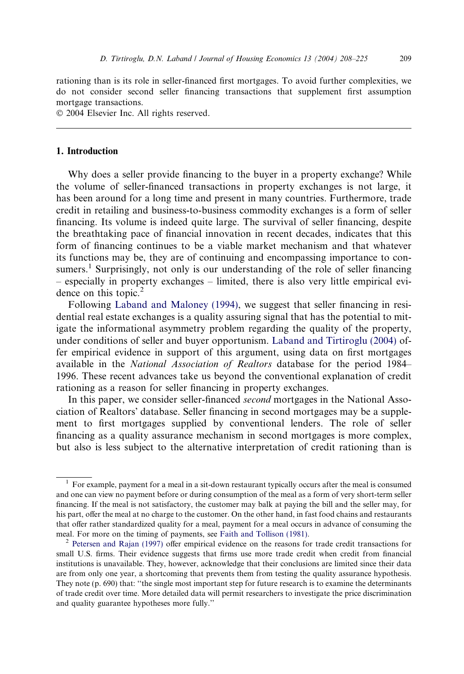rationing than is its role in seller-financed first mortgages. To avoid further complexities, we do not consider second seller financing transactions that supplement first assumption mortgage transactions.

2004 Elsevier Inc. All rights reserved.

## 1. Introduction

Why does a seller provide financing to the buyer in a property exchange? While the volume of seller-financed transactions in property exchanges is not large, it has been around for a long time and present in many countries. Furthermore, trade credit in retailing and business-to-business commodity exchanges is a form of seller financing. Its volume is indeed quite large. The survival of seller financing, despite the breathtaking pace of financial innovation in recent decades, indicates that this form of financing continues to be a viable market mechanism and that whatever its functions may be, they are of continuing and encompassing importance to consumers.<sup>1</sup> Surprisingly, not only is our understanding of the role of seller financing – especially in property exchanges – limited, there is also very little empirical evidence on this topic. $<sup>2</sup>$ </sup>

Following [Laband and Maloney \(1994\)](#page--1-0), we suggest that seller financing in residential real estate exchanges is a quality assuring signal that has the potential to mitigate the informational asymmetry problem regarding the quality of the property, under conditions of seller and buyer opportunism. [Laband and Tirtiroglu \(2004\)](#page--1-0) offer empirical evidence in support of this argument, using data on first mortgages available in the National Association of Realtors database for the period 1984– 1996. These recent advances take us beyond the conventional explanation of credit rationing as a reason for seller financing in property exchanges.

In this paper, we consider seller-financed *second* mortgages in the National Association of Realtors' database. Seller financing in second mortgages may be a supplement to first mortgages supplied by conventional lenders. The role of seller financing as a quality assurance mechanism in second mortgages is more complex, but also is less subject to the alternative interpretation of credit rationing than is

 $1$  For example, payment for a meal in a sit-down restaurant typically occurs after the meal is consumed and one can view no payment before or during consumption of the meal as a form of very short-term seller financing. If the meal is not satisfactory, the customer may balk at paying the bill and the seller may, for his part, offer the meal at no charge to the customer. On the other hand, in fast food chains and restaurants that offer rather standardized quality for a meal, payment for a meal occurs in advance of consuming the meal. For more on the timing of payments, see [Faith and Tollison \(1981\)](#page--1-0).<br><sup>2</sup> [Petersen and Rajan \(1997\)](#page--1-0) offer empirical evidence on the reasons for trade credit transactions for

small U.S. firms. Their evidence suggests that firms use more trade credit when credit from financial institutions is unavailable. They, however, acknowledge that their conclusions are limited since their data are from only one year, a shortcoming that prevents them from testing the quality assurance hypothesis. They note (p. 690) that: ''the single most important step for future research is to examine the determinants of trade credit over time. More detailed data will permit researchers to investigate the price discrimination and quality guarantee hypotheses more fully.''